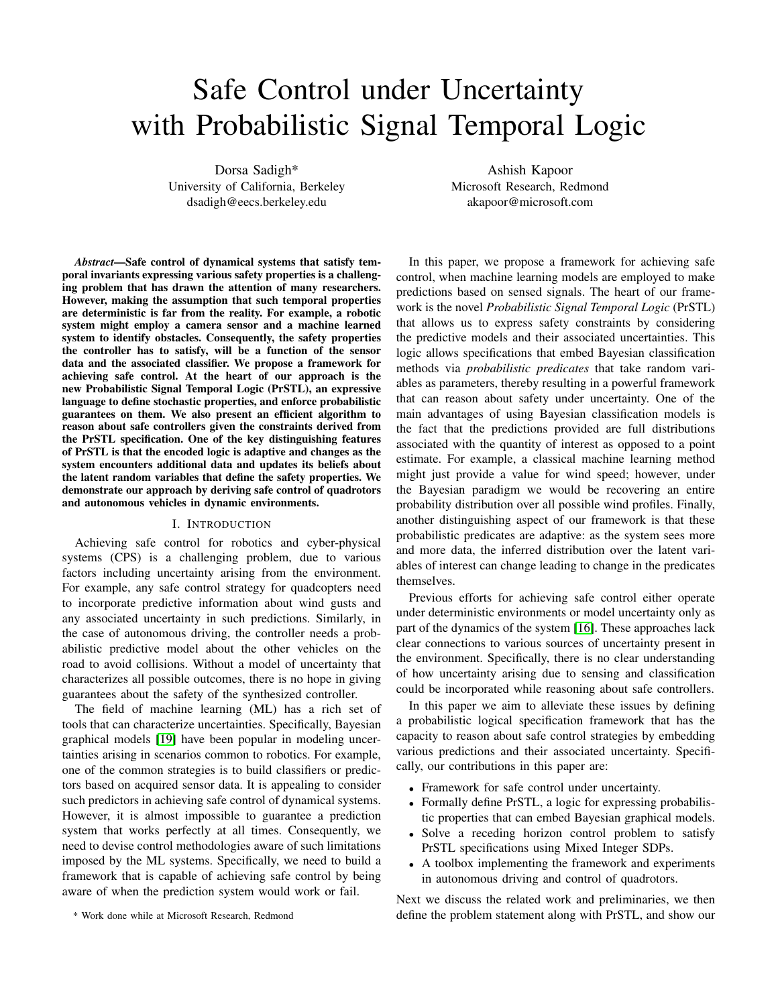# Safe Control under Uncertainty with Probabilistic Signal Temporal Logic

Dorsa Sadigh\* University of California, Berkeley dsadigh@eecs.berkeley.edu

*Abstract*—Safe control of dynamical systems that satisfy temporal invariants expressing various safety properties is a challenging problem that has drawn the attention of many researchers. However, making the assumption that such temporal properties are deterministic is far from the reality. For example, a robotic system might employ a camera sensor and a machine learned system to identify obstacles. Consequently, the safety properties the controller has to satisfy, will be a function of the sensor data and the associated classifier. We propose a framework for achieving safe control. At the heart of our approach is the new Probabilistic Signal Temporal Logic (PrSTL), an expressive language to define stochastic properties, and enforce probabilistic guarantees on them. We also present an efficient algorithm to reason about safe controllers given the constraints derived from the PrSTL specification. One of the key distinguishing features of PrSTL is that the encoded logic is adaptive and changes as the system encounters additional data and updates its beliefs about the latent random variables that define the safety properties. We demonstrate our approach by deriving safe control of quadrotors and autonomous vehicles in dynamic environments.

## I. INTRODUCTION

Achieving safe control for robotics and cyber-physical systems (CPS) is a challenging problem, due to various factors including uncertainty arising from the environment. For example, any safe control strategy for quadcopters need to incorporate predictive information about wind gusts and any associated uncertainty in such predictions. Similarly, in the case of autonomous driving, the controller needs a probabilistic predictive model about the other vehicles on the road to avoid collisions. Without a model of uncertainty that characterizes all possible outcomes, there is no hope in giving guarantees about the safety of the synthesized controller.

The field of machine learning (ML) has a rich set of tools that can characterize uncertainties. Specifically, Bayesian graphical models [\[19\]](#page-8-0) have been popular in modeling uncertainties arising in scenarios common to robotics. For example, one of the common strategies is to build classifiers or predictors based on acquired sensor data. It is appealing to consider such predictors in achieving safe control of dynamical systems. However, it is almost impossible to guarantee a prediction system that works perfectly at all times. Consequently, we need to devise control methodologies aware of such limitations imposed by the ML systems. Specifically, we need to build a framework that is capable of achieving safe control by being aware of when the prediction system would work or fail.

\* Work done while at Microsoft Research, Redmond

Ashish Kapoor Microsoft Research, Redmond akapoor@microsoft.com

In this paper, we propose a framework for achieving safe control, when machine learning models are employed to make predictions based on sensed signals. The heart of our framework is the novel *Probabilistic Signal Temporal Logic* (PrSTL) that allows us to express safety constraints by considering the predictive models and their associated uncertainties. This logic allows specifications that embed Bayesian classification methods via *probabilistic predicates* that take random variables as parameters, thereby resulting in a powerful framework that can reason about safety under uncertainty. One of the main advantages of using Bayesian classification models is the fact that the predictions provided are full distributions associated with the quantity of interest as opposed to a point estimate. For example, a classical machine learning method might just provide a value for wind speed; however, under the Bayesian paradigm we would be recovering an entire probability distribution over all possible wind profiles. Finally, another distinguishing aspect of our framework is that these probabilistic predicates are adaptive: as the system sees more and more data, the inferred distribution over the latent variables of interest can change leading to change in the predicates themselves.

Previous efforts for achieving safe control either operate under deterministic environments or model uncertainty only as part of the dynamics of the system [\[16\]](#page-8-1). These approaches lack clear connections to various sources of uncertainty present in the environment. Specifically, there is no clear understanding of how uncertainty arising due to sensing and classification could be incorporated while reasoning about safe controllers.

In this paper we aim to alleviate these issues by defining a probabilistic logical specification framework that has the capacity to reason about safe control strategies by embedding various predictions and their associated uncertainty. Specifically, our contributions in this paper are:

- Framework for safe control under uncertainty.
- Formally define PrSTL, a logic for expressing probabilistic properties that can embed Bayesian graphical models.
- Solve a receding horizon control problem to satisfy PrSTL specifications using Mixed Integer SDPs.
- A toolbox implementing the framework and experiments in autonomous driving and control of quadrotors.

Next we discuss the related work and preliminaries, we then define the problem statement along with PrSTL, and show our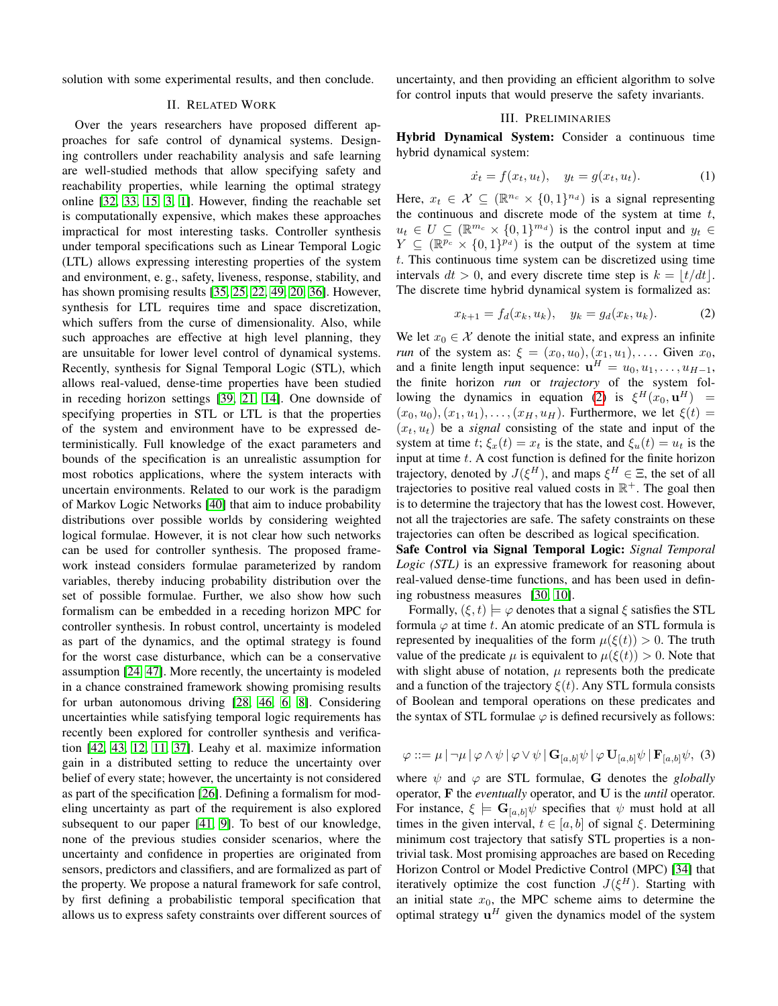solution with some experimental results, and then conclude.

## II. RELATED WORK

Over the years researchers have proposed different approaches for safe control of dynamical systems. Designing controllers under reachability analysis and safe learning are well-studied methods that allow specifying safety and reachability properties, while learning the optimal strategy online [\[32,](#page-8-2) [33,](#page-8-3) [15,](#page-8-4) [3,](#page-8-5) [1\]](#page-8-6). However, finding the reachable set is computationally expensive, which makes these approaches impractical for most interesting tasks. Controller synthesis under temporal specifications such as Linear Temporal Logic (LTL) allows expressing interesting properties of the system and environment, e. g., safety, liveness, response, stability, and has shown promising results [\[35,](#page-9-0) [25,](#page-8-7) [22,](#page-8-8) [49,](#page-9-1) [20,](#page-8-9) [36\]](#page-9-2). However, synthesis for LTL requires time and space discretization, which suffers from the curse of dimensionality. Also, while such approaches are effective at high level planning, they are unsuitable for lower level control of dynamical systems. Recently, synthesis for Signal Temporal Logic (STL), which allows real-valued, dense-time properties have been studied in receding horizon settings [\[39,](#page-9-3) [21,](#page-8-10) [14\]](#page-8-11). One downside of specifying properties in STL or LTL is that the properties of the system and environment have to be expressed deterministically. Full knowledge of the exact parameters and bounds of the specification is an unrealistic assumption for most robotics applications, where the system interacts with uncertain environments. Related to our work is the paradigm of Markov Logic Networks [\[40\]](#page-9-4) that aim to induce probability distributions over possible worlds by considering weighted logical formulae. However, it is not clear how such networks can be used for controller synthesis. The proposed framework instead considers formulae parameterized by random variables, thereby inducing probability distribution over the set of possible formulae. Further, we also show how such formalism can be embedded in a receding horizon MPC for controller synthesis. In robust control, uncertainty is modeled as part of the dynamics, and the optimal strategy is found for the worst case disturbance, which can be a conservative assumption [\[24,](#page-8-12) [47\]](#page-9-5). More recently, the uncertainty is modeled in a chance constrained framework showing promising results for urban autonomous driving [\[28,](#page-8-13) [46,](#page-9-6) [6,](#page-8-14) [8\]](#page-8-15). Considering uncertainties while satisfying temporal logic requirements has recently been explored for controller synthesis and verification [\[42,](#page-9-7) [43,](#page-9-8) [12,](#page-8-16) [11,](#page-8-17) [37\]](#page-9-9). Leahy et al. maximize information gain in a distributed setting to reduce the uncertainty over belief of every state; however, the uncertainty is not considered as part of the specification [\[26\]](#page-8-18). Defining a formalism for modeling uncertainty as part of the requirement is also explored subsequent to our paper [\[41,](#page-9-10) [9\]](#page-8-19). To best of our knowledge, none of the previous studies consider scenarios, where the uncertainty and confidence in properties are originated from sensors, predictors and classifiers, and are formalized as part of the property. We propose a natural framework for safe control, by first defining a probabilistic temporal specification that allows us to express safety constraints over different sources of uncertainty, and then providing an efficient algorithm to solve for control inputs that would preserve the safety invariants.

## III. PRELIMINARIES

Hybrid Dynamical System: Consider a continuous time hybrid dynamical system:

$$
\dot{x}_t = f(x_t, u_t), \quad y_t = g(x_t, u_t). \tag{1}
$$

Here,  $x_t \in \mathcal{X} \subseteq (\mathbb{R}^{n_c} \times \{0,1\}^{n_d})$  is a signal representing the continuous and discrete mode of the system at time  $t$ ,  $u_t \in U \subseteq (\mathbb{R}^{m_c} \times \{0,1\}^{m_d})$  is the control input and  $y_t \in$  $Y \subseteq (\mathbb{R}^{p_c} \times \{0,1\}^{p_d})$  is the output of the system at time t. This continuous time system can be discretized using time intervals  $dt > 0$ , and every discrete time step is  $k = \frac{t}{dt}$ . The discrete time hybrid dynamical system is formalized as:

<span id="page-1-0"></span>
$$
x_{k+1} = f_d(x_k, u_k), \quad y_k = g_d(x_k, u_k). \tag{2}
$$

We let  $x_0 \in \mathcal{X}$  denote the initial state, and express an infinite *run* of the system as:  $\xi = (x_0, u_0), (x_1, u_1), \ldots$  Given  $x_0$ , and a finite length input sequence:  $\mathbf{u}^H = u_0, u_1, \dots, u_{H-1}$ , the finite horizon *run* or *trajectory* of the system fol-lowing the dynamics in equation [\(2\)](#page-1-0) is  $\xi^H(x_0, \mathbf{u}^H)$  =  $(x_0, u_0), (x_1, u_1), \ldots, (x_H, u_H)$ . Furthermore, we let  $\xi(t) =$  $(x_t, u_t)$  be a *signal* consisting of the state and input of the system at time t;  $\xi_x(t) = x_t$  is the state, and  $\xi_u(t) = u_t$  is the input at time  $t$ . A cost function is defined for the finite horizon trajectory, denoted by  $J(\xi^H)$ , and maps  $\xi^H \in \Xi$ , the set of all trajectories to positive real valued costs in  $\mathbb{R}^+$ . The goal then is to determine the trajectory that has the lowest cost. However, not all the trajectories are safe. The safety constraints on these trajectories can often be described as logical specification.

Safe Control via Signal Temporal Logic: *Signal Temporal Logic (STL)* is an expressive framework for reasoning about real-valued dense-time functions, and has been used in defining robustness measures [\[30,](#page-8-20) [10\]](#page-8-21).

Formally,  $(\xi, t) \models \varphi$  denotes that a signal  $\xi$  satisfies the STL formula  $\varphi$  at time t. An atomic predicate of an STL formula is represented by inequalities of the form  $\mu(\xi(t)) > 0$ . The truth value of the predicate  $\mu$  is equivalent to  $\mu(\xi(t)) > 0$ . Note that with slight abuse of notation,  $\mu$  represents both the predicate and a function of the trajectory  $\xi(t)$ . Any STL formula consists of Boolean and temporal operations on these predicates and the syntax of STL formulae  $\varphi$  is defined recursively as follows:

<span id="page-1-1"></span>
$$
\varphi ::= \mu \mid \neg \mu \mid \varphi \land \psi \mid \varphi \lor \psi \mid \mathbf{G}_{[a,b]}\psi \mid \varphi \mathbf{U}_{[a,b]}\psi \mid \mathbf{F}_{[a,b]}\psi, \text{ (3)}
$$

where  $\psi$  and  $\varphi$  are STL formulae, G denotes the *globally* operator, F the *eventually* operator, and U is the *until* operator. For instance,  $\xi \models G_{[a,b]}\psi$  specifies that  $\psi$  must hold at all times in the given interval,  $t \in [a, b]$  of signal  $\xi$ . Determining minimum cost trajectory that satisfy STL properties is a nontrivial task. Most promising approaches are based on Receding Horizon Control or Model Predictive Control (MPC) [\[34\]](#page-9-11) that iteratively optimize the cost function  $J(\xi^H)$ . Starting with an initial state  $x_0$ , the MPC scheme aims to determine the optimal strategy  $\mathbf{u}^H$  given the dynamics model of the system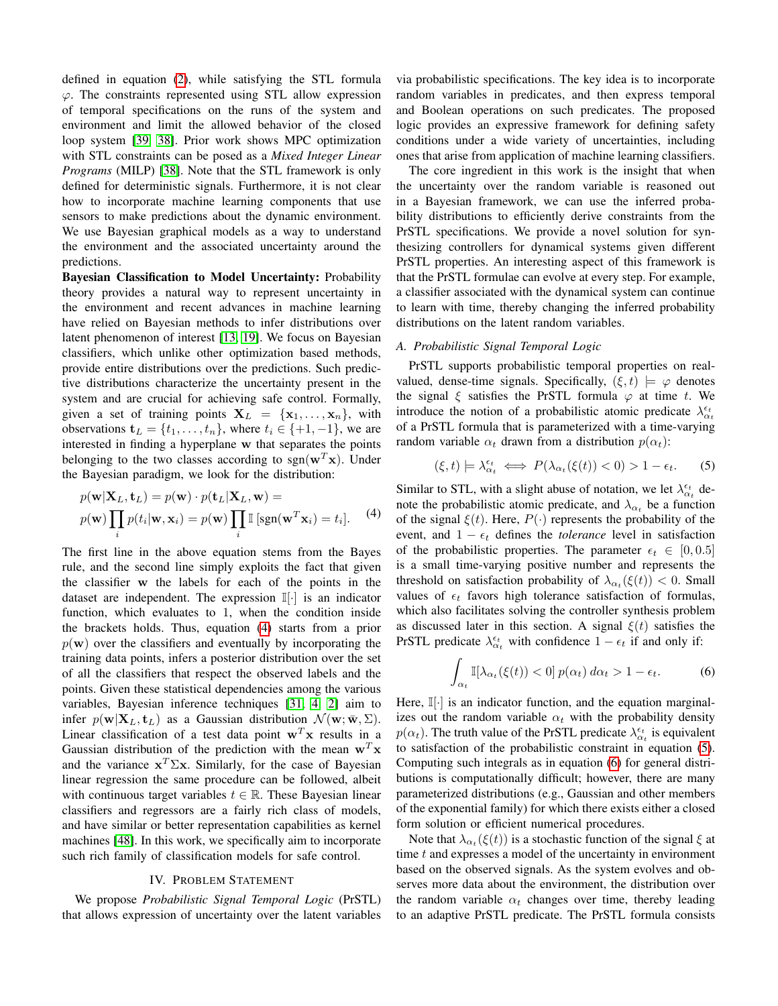defined in equation [\(2\)](#page-1-0), while satisfying the STL formula  $\varphi$ . The constraints represented using STL allow expression of temporal specifications on the runs of the system and environment and limit the allowed behavior of the closed loop system [\[39,](#page-9-3) [38\]](#page-9-12). Prior work shows MPC optimization with STL constraints can be posed as a *Mixed Integer Linear Programs* (MILP) [\[38\]](#page-9-12). Note that the STL framework is only defined for deterministic signals. Furthermore, it is not clear how to incorporate machine learning components that use sensors to make predictions about the dynamic environment. We use Bayesian graphical models as a way to understand the environment and the associated uncertainty around the predictions.

Bayesian Classification to Model Uncertainty: Probability theory provides a natural way to represent uncertainty in the environment and recent advances in machine learning have relied on Bayesian methods to infer distributions over latent phenomenon of interest [\[13,](#page-8-22) [19\]](#page-8-0). We focus on Bayesian classifiers, which unlike other optimization based methods, provide entire distributions over the predictions. Such predictive distributions characterize the uncertainty present in the system and are crucial for achieving safe control. Formally, given a set of training points  $X_L = \{x_1, \ldots, x_n\}$ , with observations  $\mathbf{t}_L = \{t_1, \ldots, t_n\}$ , where  $t_i \in \{+1, -1\}$ , we are interested in finding a hyperplane w that separates the points belonging to the two classes according to sgn( $\mathbf{w}^T\mathbf{x}$ ). Under the Bayesian paradigm, we look for the distribution:

$$
p(\mathbf{w}|\mathbf{X}_L, \mathbf{t}_L) = p(\mathbf{w}) \cdot p(\mathbf{t}_L|\mathbf{X}_L, \mathbf{w}) =
$$
  

$$
p(\mathbf{w}) \prod_i p(t_i|\mathbf{w}, \mathbf{x}_i) = p(\mathbf{w}) \prod_i \mathbb{I} \left[ \text{sgn}(\mathbf{w}^T \mathbf{x}_i) = t_i \right].
$$
 (4)

The first line in the above equation stems from the Bayes rule, and the second line simply exploits the fact that given the classifier w the labels for each of the points in the dataset are independent. The expression  $\mathbb{I}[\cdot]$  is an indicator function, which evaluates to 1, when the condition inside the brackets holds. Thus, equation [\(4\)](#page-2-0) starts from a prior  $p(\mathbf{w})$  over the classifiers and eventually by incorporating the training data points, infers a posterior distribution over the set of all the classifiers that respect the observed labels and the points. Given these statistical dependencies among the various variables, Bayesian inference techniques [\[31,](#page-8-23) [4,](#page-8-24) [2\]](#page-8-25) aim to infer  $p(\mathbf{w}|\mathbf{X}_L, \mathbf{t}_L)$  as a Gaussian distribution  $\mathcal{N}(\mathbf{w}; \bar{\mathbf{w}}, \Sigma)$ . Linear classification of a test data point  $w^T x$  results in a Gaussian distribution of the prediction with the mean  $w<sup>T</sup> x$ and the variance  $x^T \Sigma x$ . Similarly, for the case of Bayesian linear regression the same procedure can be followed, albeit with continuous target variables  $t \in \mathbb{R}$ . These Bayesian linear classifiers and regressors are a fairly rich class of models, and have similar or better representation capabilities as kernel machines [\[48\]](#page-9-13). In this work, we specifically aim to incorporate such rich family of classification models for safe control.

## IV. PROBLEM STATEMENT

We propose *Probabilistic Signal Temporal Logic* (PrSTL) that allows expression of uncertainty over the latent variables via probabilistic specifications. The key idea is to incorporate random variables in predicates, and then express temporal and Boolean operations on such predicates. The proposed logic provides an expressive framework for defining safety conditions under a wide variety of uncertainties, including ones that arise from application of machine learning classifiers.

The core ingredient in this work is the insight that when the uncertainty over the random variable is reasoned out in a Bayesian framework, we can use the inferred probability distributions to efficiently derive constraints from the PrSTL specifications. We provide a novel solution for synthesizing controllers for dynamical systems given different PrSTL properties. An interesting aspect of this framework is that the PrSTL formulae can evolve at every step. For example, a classifier associated with the dynamical system can continue to learn with time, thereby changing the inferred probability distributions on the latent random variables.

## <span id="page-2-3"></span>*A. Probabilistic Signal Temporal Logic*

PrSTL supports probabilistic temporal properties on realvalued, dense-time signals. Specifically,  $(\xi, t) \models \varphi$  denotes the signal  $\xi$  satisfies the PrSTL formula  $\varphi$  at time t. We introduce the notion of a probabilistic atomic predicate  $\lambda_{\alpha_t}^{\epsilon_t}$ of a PrSTL formula that is parameterized with a time-varying random variable  $\alpha_t$  drawn from a distribution  $p(\alpha_t)$ :

<span id="page-2-1"></span>
$$
(\xi, t) \models \lambda_{\alpha_t}^{\epsilon_t} \iff P(\lambda_{\alpha_t}(\xi(t)) < 0) > 1 - \epsilon_t. \tag{5}
$$

<span id="page-2-0"></span>Similar to STL, with a slight abuse of notation, we let  $\lambda_{\alpha_t}^{\epsilon_t}$  denote the probabilistic atomic predicate, and  $\lambda_{\alpha}$  be a function of the signal  $\xi(t)$ . Here,  $P(\cdot)$  represents the probability of the event, and  $1 - \epsilon_t$  defines the *tolerance* level in satisfaction of the probabilistic properties. The parameter  $\epsilon_t \in [0, 0.5]$ is a small time-varying positive number and represents the threshold on satisfaction probability of  $\lambda_{\alpha_t}(\xi(t)) < 0$ . Small values of  $\epsilon_t$  favors high tolerance satisfaction of formulas, which also facilitates solving the controller synthesis problem as discussed later in this section. A signal  $\xi(t)$  satisfies the PrSTL predicate  $\lambda_{\alpha_t}^{\epsilon_t}$  with confidence  $1 - \epsilon_t$  if and only if:

<span id="page-2-2"></span>
$$
\int_{\alpha_t} \mathbb{I}[\lambda_{\alpha_t}(\xi(t)) < 0] \, p(\alpha_t) \, d\alpha_t > 1 - \epsilon_t. \tag{6}
$$

Here,  $\mathbb{I}[\cdot]$  is an indicator function, and the equation marginalizes out the random variable  $\alpha_t$  with the probability density  $p(\alpha_t)$ . The truth value of the PrSTL predicate  $\lambda_{\alpha_t}^{\epsilon_t}$  is equivalent to satisfaction of the probabilistic constraint in equation [\(5\)](#page-2-1). Computing such integrals as in equation [\(6\)](#page-2-2) for general distributions is computationally difficult; however, there are many parameterized distributions (e.g., Gaussian and other members of the exponential family) for which there exists either a closed form solution or efficient numerical procedures.

Note that  $\lambda_{\alpha_t}(\xi(t))$  is a stochastic function of the signal  $\xi$  at time t and expresses a model of the uncertainty in environment based on the observed signals. As the system evolves and observes more data about the environment, the distribution over the random variable  $\alpha_t$  changes over time, thereby leading to an adaptive PrSTL predicate. The PrSTL formula consists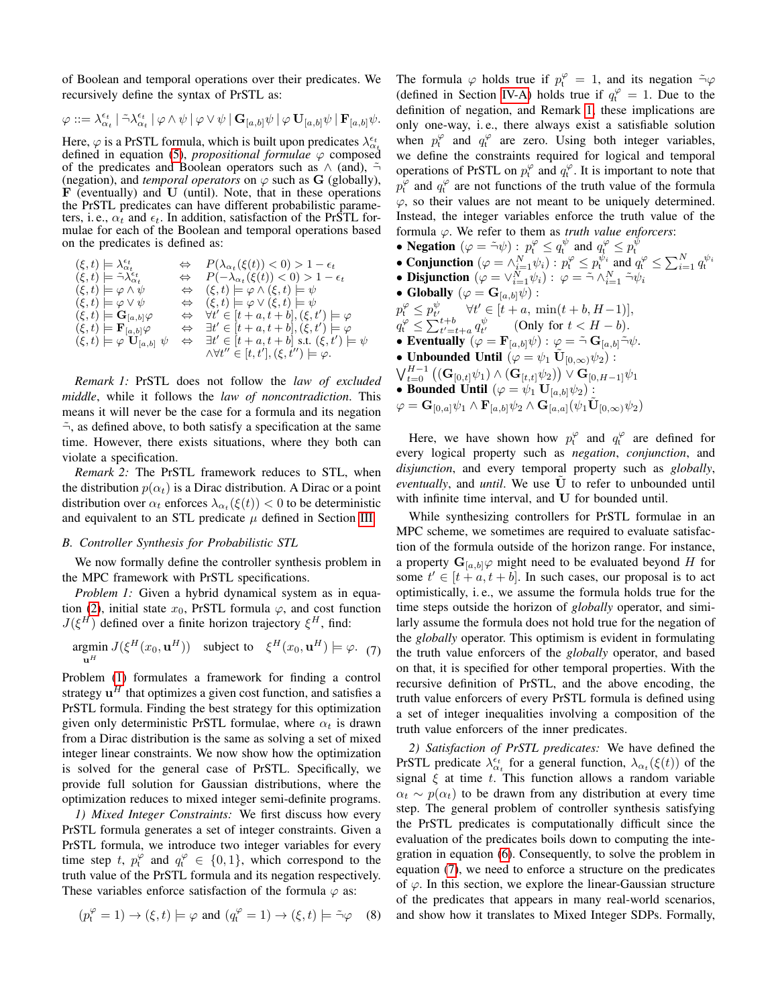of Boolean and temporal operations over their predicates. We recursively define the syntax of PrSTL as:

$$
\varphi::=\lambda^{\epsilon_t}_{\alpha_t}\mid \tilde{\neg}\lambda^{\epsilon_t}_{\alpha_t}\mid \varphi\wedge\psi\mid \varphi\vee\psi\mid \mathbf{G}_{[a,b]}\psi\mid \varphi\,\mathbf{U}_{[a,b]}\psi\mid \mathbf{F}_{[a,b]}\psi.
$$

Here,  $\varphi$  is a PrSTL formula, which is built upon predicates  $\lambda_{\alpha_t}^{\epsilon_t}$ defined in equation [\(5\)](#page-2-1), *propositional formulae*  $\varphi$  composed of the predicates and Boolean operators such as  $\wedge$  (and),  $\tilde{\neg}$ (negation), and *temporal operators* on  $\varphi$  such as **G** (globally),  $\bf{F}$  (eventually) and  $\bf{U}$  (until). Note, that in these operations the PrSTL predicates can have different probabilistic parameters, i. e.,  $\alpha_t$  and  $\epsilon_t$ . In addition, satisfaction of the PrSTL formulae for each of the Boolean and temporal operations based on the predicates is defined as:

$$
\begin{array}{lll} (\xi,t)\models\lambda_{\alpha_t}^{\epsilon_t}&\Leftrightarrow&P(\lambda_{\alpha_t}(\xi(t))<0)>1-\epsilon_t\\ (\xi,t)\models\tilde{\neg}\lambda_{\alpha_t}^{\epsilon} &\Leftrightarrow&P(-\lambda_{\alpha_t}(\xi(t))<0)>1-\epsilon_t\\ (\xi,t)\models\varphi\wedge\psi&\Leftrightarrow&(\xi,t)\models\varphi\wedge(\xi,t)\models\psi\\ (\xi,t)\models\varphi\vee\psi&\Leftrightarrow&(\xi,t)\models\varphi\vee(\xi,t)\models\psi\\ (\xi,t)\models\mathbf{G}_{[a,b]}\varphi&\Leftrightarrow&\forall t'\in[t+a,t+b],(\xi,t')\models\varphi\\ (\xi,t)\models\mathbf{F}_{[a,b]}\varphi&\Leftrightarrow&\exists t'\in[t+a,t+b],(\xi,t')\models\varphi\\ (\xi,t)\models\varphi\;\mathbf{U}_{[a,b]}\;\psi&\Leftrightarrow&\exists t'\in[t+a,t+b]\;\text{s.t.}\;(\xi,t')\models\psi\\ \end{array}
$$

<span id="page-3-1"></span>*Remark 1:* PrSTL does not follow the *law of excluded middle*, while it follows the *law of noncontradiction*. This means it will never be the case for a formula and its negation  $\tilde{\neg}$ , as defined above, to both satisfy a specification at the same time. However, there exists situations, where they both can violate a specification.

*Remark 2:* The PrSTL framework reduces to STL, when the distribution  $p(\alpha_t)$  is a Dirac distribution. A Dirac or a point distribution over  $\alpha_t$  enforces  $\lambda_{\alpha_t}(\xi(t)) < 0$  to be deterministic and equivalent to an STL predicate  $\mu$  defined in Section [III.](#page-1-0)

## *B. Controller Synthesis for Probabilistic STL*

We now formally define the controller synthesis problem in the MPC framework with PrSTL specifications.

*Problem 1:* Given a hybrid dynamical system as in equa-tion [\(2\)](#page-1-0), initial state  $x_0$ , PrSTL formula  $\varphi$ , and cost function  $J(\xi^H)$  defined over a finite horizon trajectory  $\xi^H$ , find:

$$
\underset{\mathbf{u}^{H}}{\operatorname{argmin}}\ J(\xi^{H}(x_{0},\mathbf{u}^{H})) \quad \text{subject to} \quad \xi^{H}(x_{0},\mathbf{u}^{H})\models \varphi. \tag{7}
$$

Problem [\(1\)](#page-3-0) formulates a framework for finding a control strategy  $\mathbf{u}^H$  that optimizes a given cost function, and satisfies a PrSTL formula. Finding the best strategy for this optimization given only deterministic PrSTL formulae, where  $\alpha_t$  is drawn from a Dirac distribution is the same as solving a set of mixed integer linear constraints. We now show how the optimization is solved for the general case of PrSTL. Specifically, we provide full solution for Gaussian distributions, where the optimization reduces to mixed integer semi-definite programs.

<span id="page-3-3"></span>*1) Mixed Integer Constraints:* We first discuss how every PrSTL formula generates a set of integer constraints. Given a PrSTL formula, we introduce two integer variables for every time step t,  $p_t^{\varphi}$  and  $q_t^{\varphi} \in \{0,1\}$ , which correspond to the truth value of the PrSTL formula and its negation respectively. These variables enforce satisfaction of the formula  $\varphi$  as:

$$
(p_t^{\varphi} = 1) \to (\xi, t) \models \varphi \text{ and } (q_t^{\varphi} = 1) \to (\xi, t) \models \tilde{\neg} \varphi \quad (8)
$$

The formula  $\varphi$  holds true if  $p_t^{\varphi} = 1$ , and its negation  $\tilde{\neg} \varphi$ (defined in Section [IV-A\)](#page-2-3) holds true if  $q_t^{\varphi} = 1$ . Due to the definition of negation, and Remark [1,](#page-3-1) these implications are only one-way, i. e., there always exist a satisfiable solution when  $p_t^{\varphi}$  and  $q_t^{\varphi}$  are zero. Using both integer variables, we define the constraints required for logical and temporal operations of PrSTL on  $p_t^{\varphi}$  and  $q_t^{\varphi}$ . It is important to note that  $p_t^{\varphi}$  and  $q_t^{\varphi}$  are not functions of the truth value of the formula  $\varphi$ , so their values are not meant to be uniquely determined. Instead, the integer variables enforce the truth value of the formula ϕ. We refer to them as *truth value enforcers*:

- 
- Negation  $(\varphi = \tilde{\neg} \psi) : p_t^{\varphi} \le q_t^{\psi}$  and  $q_t^{\varphi} \le p_t^{\psi}$ <br>
 Conjunction  $(\varphi = \wedge_{i=1}^N \psi_i) : p_t^{\varphi} \le p_t^{\psi_i}$  and  $q_t^{\varphi} \le \sum_{i=1}^N q_t^{\psi_i}$ <br>
 Disjunction  $(\varphi = \vee_{i=1}^N \psi_i) : \varphi = \tilde{\neg} \wedge_{i=1}^N \tilde{\neg} \psi_i$
- 
- Globally  $(\varphi = \mathbf{G}_{[a,b]}\psi)$  :
- $p_t^{\varphi} \leq p_{t'}^{\psi}$   $\forall t' \in [t+a, \min(t+b, H-1)],$  $q_t^{\varphi} \le \sum_{t'=t+a}^{t+b} q_{t'}^{\psi}$  (Only for  $t < H-b$ ).
- Eventually  $(\varphi = \mathbf{F}_{[a,b]}\psi) : \varphi = \tilde{\neg} \mathbf{G}_{[a,b]} \tilde{\neg} \psi.$
- Unbounded Until  $(\varphi = \psi_1 \tilde{\mathbf{U}}_{[0,\infty)} \psi_2)$ :
- $\bigvee_{t=0}^{H-1}\big((\mathbf{G}_{[0,t]}\psi_1)\wedge(\mathbf{G}_{[t,t]}\psi_2)\big) \vee \mathbf{G}_{[0,H-1]}\psi_1$
- Bounded Until  $(\varphi = \psi_1 \mathbf{U}_{[a,b]}\psi_2)$ :

$$
\varphi = \mathbf{G}_{[0,a]}\psi_1 \wedge \mathbf{F}_{[a,b]}\psi_2 \wedge \mathbf{G}_{[a,a]}[\psi_1\tilde{\mathbf{U}}_{[0,\infty)}\psi_2]
$$

Here, we have shown how  $p_t^{\varphi}$  and  $q_t^{\varphi}$  are defined for every logical property such as *negation*, *conjunction*, and *disjunction*, and every temporal property such as *globally*, *eventually*, and *until*. We use U˜ to refer to unbounded until with infinite time interval, and U for bounded until.

<span id="page-3-2"></span><span id="page-3-0"></span>While synthesizing controllers for PrSTL formulae in an MPC scheme, we sometimes are required to evaluate satisfaction of the formula outside of the horizon range. For instance, a property  $\mathbf{G}_{[a,b]}\varphi$  might need to be evaluated beyond H for some  $t' \in [t + a, t + b]$ . In such cases, our proposal is to act optimistically, i. e., we assume the formula holds true for the time steps outside the horizon of *globally* operator, and similarly assume the formula does not hold true for the negation of the *globally* operator. This optimism is evident in formulating the truth value enforcers of the *globally* operator, and based on that, it is specified for other temporal properties. With the recursive definition of PrSTL, and the above encoding, the truth value enforcers of every PrSTL formula is defined using a set of integer inequalities involving a composition of the truth value enforcers of the inner predicates.

<span id="page-3-4"></span>*2) Satisfaction of PrSTL predicates:* We have defined the PrSTL predicate  $\lambda_{\alpha_t}^{\epsilon_t}$  for a general function,  $\lambda_{\alpha_t}(\xi(t))$  of the signal  $\xi$  at time t. This function allows a random variable  $\alpha_t \sim p(\alpha_t)$  to be drawn from any distribution at every time step. The general problem of controller synthesis satisfying the PrSTL predicates is computationally difficult since the evaluation of the predicates boils down to computing the integration in equation [\(6\)](#page-2-2). Consequently, to solve the problem in equation [\(7\)](#page-3-2), we need to enforce a structure on the predicates of  $\varphi$ . In this section, we explore the linear-Gaussian structure of the predicates that appears in many real-world scenarios, and show how it translates to Mixed Integer SDPs. Formally,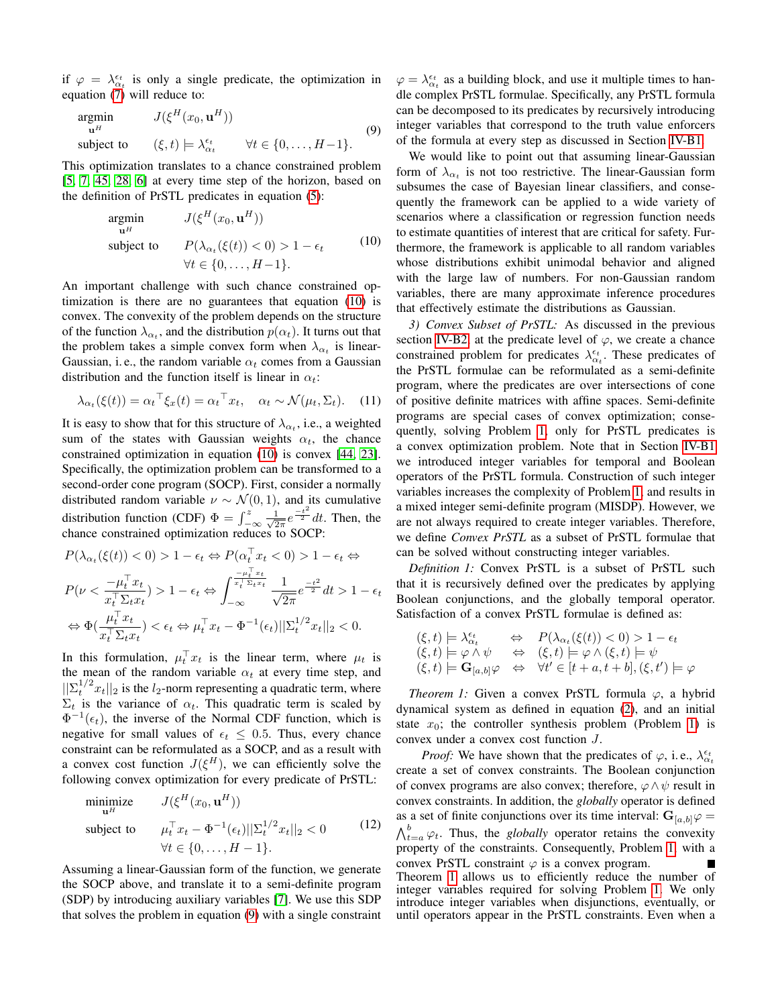if  $\varphi = \lambda_{\alpha_t}^{\epsilon_t}$  is only a single predicate, the optimization in equation [\(7\)](#page-3-2) will reduce to:

<span id="page-4-1"></span>
$$
\underset{\mathbf{u}^{H}}{\text{argmin}} \qquad J(\xi^{H}(x_{0}, \mathbf{u}^{H}))
$$
\n
$$
\text{subject to} \qquad (\xi, t) \models \lambda_{\alpha_{t}}^{\epsilon_{t}} \qquad \forall t \in \{0, \dots, H-1\}. \tag{9}
$$

This optimization translates to a chance constrained problem [\[5,](#page-8-26) [7,](#page-8-27) [45,](#page-9-14) [28,](#page-8-13) [6\]](#page-8-14) at every time step of the horizon, based on the definition of PrSTL predicates in equation [\(5\)](#page-2-1):

$$
\underset{\mathbf{u}^{H}}{\text{argmin}} \qquad J(\xi^{H}(x_{0}, \mathbf{u}^{H}))
$$
\n
$$
\text{subject to} \qquad P(\lambda_{\alpha_{t}}(\xi(t)) < 0) > 1 - \epsilon_{t} \qquad (10)
$$
\n
$$
\forall t \in \{0, \dots, H - 1\}.
$$

An important challenge with such chance constrained optimization is there are no guarantees that equation [\(10\)](#page-4-0) is convex. The convexity of the problem depends on the structure of the function  $\lambda_{\alpha_t}$ , and the distribution  $p(\alpha_t)$ . It turns out that the problem takes a simple convex form when  $\lambda_{\alpha_t}$  is linear-Gaussian, i.e., the random variable  $\alpha_t$  comes from a Gaussian distribution and the function itself is linear in  $\alpha_t$ :

$$
\lambda_{\alpha_t}(\xi(t)) = \alpha_t^\top \xi_x(t) = \alpha_t^\top x_t, \quad \alpha_t \sim \mathcal{N}(\mu_t, \Sigma_t). \tag{11}
$$

It is easy to show that for this structure of  $\lambda_{\alpha_t}$ , i.e., a weighted sum of the states with Gaussian weights  $\alpha_t$ , the chance constrained optimization in equation [\(10\)](#page-4-0) is convex [\[44,](#page-9-15) [23\]](#page-8-28). Specifically, the optimization problem can be transformed to a second-order cone program (SOCP). First, consider a normally distributed random variable  $\nu \sim \mathcal{N}(0, 1)$ , and its cumulative distribution function (CDF)  $\Phi = \int_{-\infty}^{z} \frac{1}{\sqrt{2}}$  $rac{1}{2\pi}e^{\frac{-t^2}{2}}dt$ . Then, the chance constrained optimization reduces to SOCP:

$$
P(\lambda_{\alpha_t}(\xi(t)) < 0) > 1 - \epsilon_t \Leftrightarrow P(\alpha_t^\top x_t < 0) > 1 - \epsilon_t \Leftrightarrow
$$
\n
$$
P(\nu < \frac{-\mu_t^\top x_t}{x_t^\top \Sigma_t x_t}) > 1 - \epsilon_t \Leftrightarrow \int_{-\infty}^{\frac{-\mu_t^\top x_t}{x_t^\top \Sigma_t x_t}} \frac{1}{\sqrt{2\pi}} e^{\frac{-t^2}{2}} dt > 1 - \epsilon_t
$$
\n
$$
\Leftrightarrow \Phi(\frac{\mu_t^\top x_t}{x_t^\top \Sigma_t x_t}) < \epsilon_t \Leftrightarrow \mu_t^\top x_t - \Phi^{-1}(\epsilon_t) ||\Sigma_t^{1/2} x_t||_2 < 0.
$$

In this formulation,  $\mu_t^{\top} x_t$  is the linear term, where  $\mu_t$  is the mean of the random variable  $\alpha_t$  at every time step, and  $||\sum_{t}^{1/2} x_t||_2$  is the  $l_2$ -norm representing a quadratic term, where  $\Sigma_t$  is the variance of  $\alpha_t$ . This quadratic term is scaled by  $\Phi^{-1}(\epsilon_t)$ , the inverse of the Normal CDF function, which is negative for small values of  $\epsilon_t \leq 0.5$ . Thus, every chance constraint can be reformulated as a SOCP, and as a result with a convex cost function  $J(\xi^H)$ , we can efficiently solve the following convex optimization for every predicate of PrSTL:

$$
\begin{array}{ll}\n\text{minimize} & J(\xi^H(x_0, \mathbf{u}^H)) \\
\text{subject to} & \mu_t^\top x_t - \Phi^{-1}(\epsilon_t) ||\Sigma_t^{1/2} x_t||_2 < 0 \\
& \forall t \in \{0, \dots, H - 1\}.\n\end{array} \tag{12}
$$

Assuming a linear-Gaussian form of the function, we generate the SOCP above, and translate it to a semi-definite program (SDP) by introducing auxiliary variables [\[7\]](#page-8-27). We use this SDP that solves the problem in equation [\(9\)](#page-4-1) with a single constraint

 $\varphi = \lambda_{\alpha_t}^{\epsilon_t}$  as a building block, and use it multiple times to handle complex PrSTL formulae. Specifically, any PrSTL formula can be decomposed to its predicates by recursively introducing integer variables that correspond to the truth value enforcers of the formula at every step as discussed in Section [IV-B1.](#page-3-3)

<span id="page-4-0"></span>We would like to point out that assuming linear-Gaussian form of  $\lambda_{\alpha_t}$  is not too restrictive. The linear-Gaussian form subsumes the case of Bayesian linear classifiers, and consequently the framework can be applied to a wide variety of scenarios where a classification or regression function needs to estimate quantities of interest that are critical for safety. Furthermore, the framework is applicable to all random variables whose distributions exhibit unimodal behavior and aligned with the large law of numbers. For non-Gaussian random variables, there are many approximate inference procedures that effectively estimate the distributions as Gaussian.

*3) Convex Subset of PrSTL:* As discussed in the previous section [IV-B2,](#page-3-4) at the predicate level of  $\varphi$ , we create a chance constrained problem for predicates  $\lambda_{\alpha_t}^{\epsilon_t}$ . These predicates of the PrSTL formulae can be reformulated as a semi-definite program, where the predicates are over intersections of cone of positive definite matrices with affine spaces. Semi-definite programs are special cases of convex optimization; consequently, solving Problem [1,](#page-3-0) only for PrSTL predicates is a convex optimization problem. Note that in Section [IV-B1](#page-3-3) we introduced integer variables for temporal and Boolean operators of the PrSTL formula. Construction of such integer variables increases the complexity of Problem [1,](#page-3-0) and results in a mixed integer semi-definite program (MISDP). However, we are not always required to create integer variables. Therefore, we define *Convex PrSTL* as a subset of PrSTL formulae that can be solved without constructing integer variables.

*Definition 1:* Convex PrSTL is a subset of PrSTL such that it is recursively defined over the predicates by applying Boolean conjunctions, and the globally temporal operator. Satisfaction of a convex PrSTL formulae is defined as:

$$
\begin{array}{rcl}\n(\xi, t) & \models \lambda_{\alpha_t}^{\epsilon_t} & \Leftrightarrow & P(\lambda_{\alpha_t}(\xi(t)) < 0) > 1 - \epsilon_t \\
(\xi, t) & \models \varphi \land \psi & \Leftrightarrow & (\xi, t) \models \varphi \land (\xi, t) \models \psi \\
(\xi, t) & \models \mathbf{G}_{[a, b]} \varphi & \Leftrightarrow & \forall t' \in [t + a, t + b], (\xi, t') \models \varphi\n\end{array}
$$

<span id="page-4-2"></span>*Theorem 1:* Given a convex PrSTL formula  $\varphi$ , a hybrid dynamical system as defined in equation [\(2\)](#page-1-0), and an initial state  $x_0$ ; the controller synthesis problem (Problem [1\)](#page-3-0) is convex under a convex cost function J.

*Proof:* We have shown that the predicates of  $\varphi$ , i.e.,  $\lambda_{\alpha_t}^{\epsilon_t}$ create a set of convex constraints. The Boolean conjunction of convex programs are also convex; therefore,  $\varphi \wedge \psi$  result in convex constraints. In addition, the *globally* operator is defined as a set of finite conjunctions over its time interval:  $G_{[a,b]}\varphi =$  $\bigwedge_{t=a}^{b} \varphi_t$ . Thus, the *globally* operator retains the convexity property of the constraints. Consequently, Problem [1,](#page-3-0) with a convex PrSTL constraint  $\varphi$  is a convex program. Theorem [1](#page-4-2) allows us to efficiently reduce the number of integer variables required for solving Problem [1.](#page-3-0) We only introduce integer variables when disjunctions, eventually, or until operators appear in the PrSTL constraints. Even when a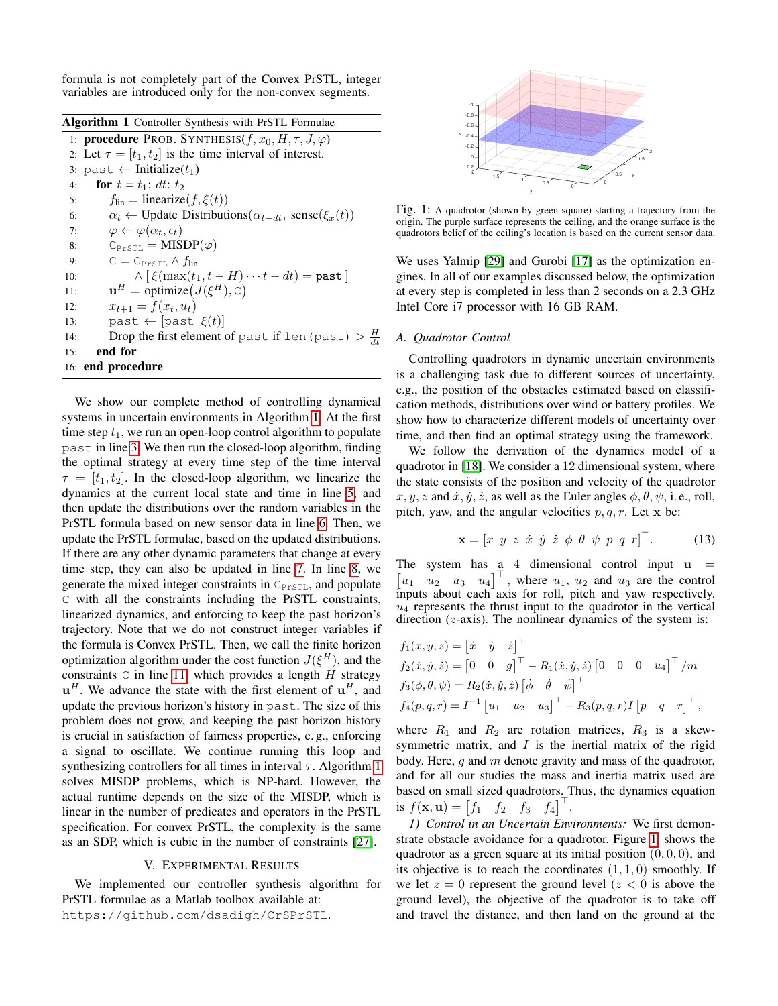formula is not completely part of the Convex PrSTL, integer variables are introduced only for the non-convex segments.

<span id="page-5-0"></span>

| Algorithm 1 Controller Synthesis with PrSTL Formulae |  |  |  |  |  |
|------------------------------------------------------|--|--|--|--|--|
|------------------------------------------------------|--|--|--|--|--|

1: **procedure** PROB. SYNTHESIS $(f, x_0, H, \tau, J, \varphi)$ 2: Let  $\tau = [t_1, t_2]$  is the time interval of interest. 3: past  $\leftarrow$  Initialize( $t_1$ ) 4: **for**  $t = t_1$ : dt:  $t_2$ 5:  $f_{lin} = linearize(f, \xi(t))$ 6:  $\alpha_t \leftarrow \text{Update Distributions}(\alpha_{t-dt}, \text{sense}(\xi_x(t))$ 7:  $\varphi \leftarrow \varphi(\alpha_t, \epsilon_t)$ 8:  $C_{\texttt{PrSTL}} = \text{MISDP}(\varphi)$ 9:  $C = C_{PrSTL} \wedge f_{lin}$ 10:  $\wedge [\xi(\max(t_1, t - H) \cdots t - dt)] = \text{past}$ 11:  $\mathbf{u}^H = \text{ optimize}(J(\xi^H), \mathbf{C})$ 12:  $x_{t+1} = f(x_t, u_t)$ 13: past  $\leftarrow$  [past  $\xi(t)$ ] 14: Drop the first element of past if len(past)  $> \frac{H}{dt}$ 15: end for 16: end procedure

We show our complete method of controlling dynamical systems in uncertain environments in Algorithm [1.](#page-5-0) At the first time step  $t_1$ , we run an open-loop control algorithm to populate past in line [3.](#page-4-2) We then run the closed-loop algorithm, finding the optimal strategy at every time step of the time interval  $\tau = [t_1, t_2]$ . In the closed-loop algorithm, we linearize the dynamics at the current local state and time in line [5,](#page-4-2) and then update the distributions over the random variables in the PrSTL formula based on new sensor data in line [6.](#page-4-2) Then, we update the PrSTL formulae, based on the updated distributions. If there are any other dynamic parameters that change at every time step, they can also be updated in line [7.](#page-4-2) In line [8,](#page-4-2) we generate the mixed integer constraints in  $C_{P^{r}STL}$ , and populate C with all the constraints including the PrSTL constraints, linearized dynamics, and enforcing to keep the past horizon's trajectory. Note that we do not construct integer variables if the formula is Convex PrSTL. Then, we call the finite horizon optimization algorithm under the cost function  $J(\xi^H)$ , and the constraints  $C$  in line [11,](#page-4-2) which provides a length  $H$  strategy  $\mathbf{u}^H$ . We advance the state with the first element of  $\mathbf{u}^H$ , and update the previous horizon's history in past. The size of this problem does not grow, and keeping the past horizon history is crucial in satisfaction of fairness properties, e. g., enforcing a signal to oscillate. We continue running this loop and synthesizing controllers for all times in interval  $\tau$ . Algorithm [1](#page-5-0) solves MISDP problems, which is NP-hard. However, the actual runtime depends on the size of the MISDP, which is linear in the number of predicates and operators in the PrSTL specification. For convex PrSTL, the complexity is the same as an SDP, which is cubic in the number of constraints [\[27\]](#page-8-29).

## V. EXPERIMENTAL RESULTS

We implemented our controller synthesis algorithm for PrSTL formulae as a Matlab toolbox available at: https://github.com/dsadigh/CrSPrSTL.

<span id="page-5-1"></span>

Fig. 1: A quadrotor (shown by green square) starting a trajectory from the origin. The purple surface represents the ceiling, and the orange surface is the quadrotors belief of the ceiling's location is based on the current sensor data.

We uses Yalmip [\[29\]](#page-8-30) and Gurobi [\[17\]](#page-8-31) as the optimization engines. In all of our examples discussed below, the optimization at every step is completed in less than 2 seconds on a 2.3 GHz Intel Core i7 processor with 16 GB RAM.

## *A. Quadrotor Control*

Controlling quadrotors in dynamic uncertain environments is a challenging task due to different sources of uncertainty, e.g., the position of the obstacles estimated based on classification methods, distributions over wind or battery profiles. We show how to characterize different models of uncertainty over time, and then find an optimal strategy using the framework.

We follow the derivation of the dynamics model of a quadrotor in [\[18\]](#page-8-32). We consider a 12 dimensional system, where the state consists of the position and velocity of the quadrotor  $x, y, z$  and  $\dot{x}, \dot{y}, \dot{z}$ , as well as the Euler angles  $\phi, \theta, \psi$ , i.e., roll, pitch, yaw, and the angular velocities  $p, q, r$ . Let x be:

$$
\mathbf{x} = [x \ y \ z \ \dot{x} \ \dot{y} \ \dot{z} \ \phi \ \theta \ \psi \ p \ q \ r]^\top. \tag{13}
$$

The system has a 4 dimensional control input  $\mathbf{u} =$  $\begin{bmatrix} u_1 & u_2 & u_3 & u_4 \end{bmatrix}^\top$ , where  $u_1$ ,  $u_2$  and  $u_3$  are the control inputs about each axis for roll, pitch and yaw respectively.  $u_4$  represents the thrust input to the quadrotor in the vertical direction  $(z-axis)$ . The nonlinear dynamics of the system is:

$$
f_1(x, y, z) = [ \dot{x} \ \dot{y} \ \dot{z} ]^{\top}
$$
  
\n
$$
f_2(\dot{x}, \dot{y}, \dot{z}) = [0 \ 0 \ g]^{\top} - R_1(\dot{x}, \dot{y}, \dot{z}) [0 \ 0 \ 0 \ u_4]^{\top} / m
$$
  
\n
$$
f_3(\phi, \theta, \psi) = R_2(\dot{x}, \dot{y}, \dot{z}) [\dot{\phi} \ \dot{\theta} \ \dot{\psi}]^{\top}
$$
  
\n
$$
f_4(p, q, r) = I^{-1} [u_1 \ u_2 \ u_3]^{\top} - R_3(p, q, r) I [p \ q \ r]^{\top},
$$

where  $R_1$  and  $R_2$  are rotation matrices,  $R_3$  is a skewsymmetric matrix, and  $I$  is the inertial matrix of the rigid body. Here,  $q$  and  $m$  denote gravity and mass of the quadrotor, and for all our studies the mass and inertia matrix used are based on small sized quadrotors. Thus, the dynamics equation is  $f(\mathbf{x}, \mathbf{u}) = \begin{bmatrix} f_1 & f_2 & f_3 & f_4 \end{bmatrix}^\top$ .

*1) Control in an Uncertain Environments:* We first demonstrate obstacle avoidance for a quadrotor. Figure [1,](#page-5-1) shows the quadrotor as a green square at its initial position  $(0, 0, 0)$ , and its objective is to reach the coordinates  $(1, 1, 0)$  smoothly. If we let  $z = 0$  represent the ground level  $(z < 0$  is above the ground level), the objective of the quadrotor is to take off and travel the distance, and then land on the ground at the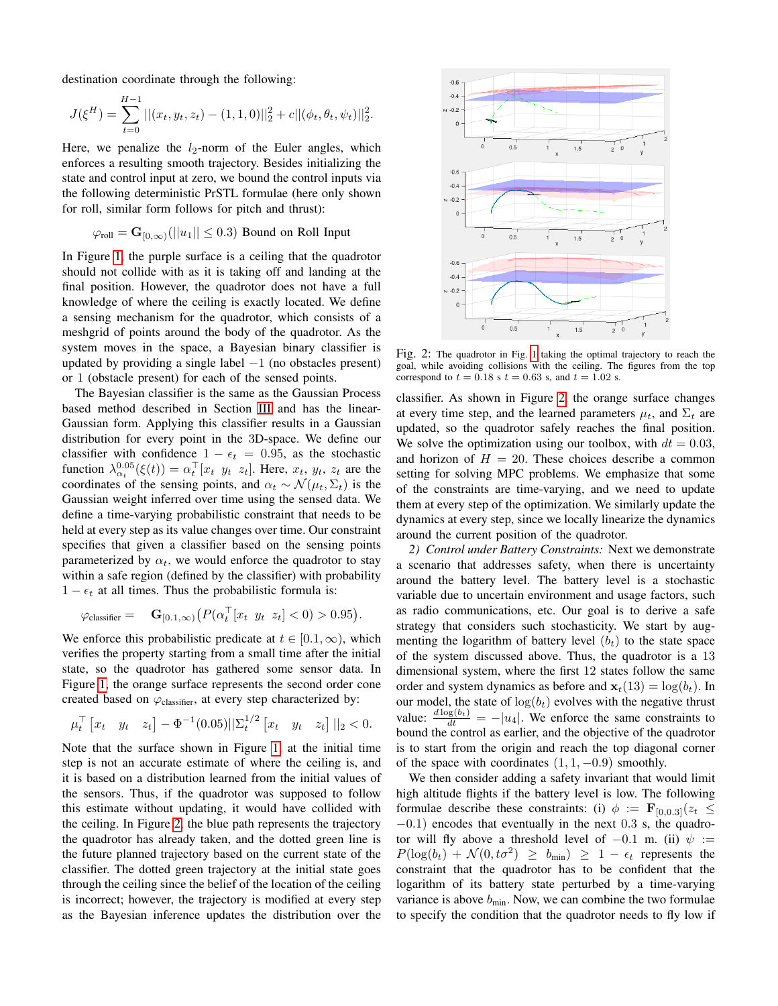destination coordinate through the following:

 $\frac{1}{2}$ 

$$
J(\xi^H) = \sum_{t=0}^{H-1} ||(x_t, y_t, z_t) - (1, 1, 0)||_2^2 + c||(\phi_t, \theta_t, \psi_t)||_2^2.
$$

Here, we penalize the  $l_2$ -norm of the Euler angles, which enforces a resulting smooth trajectory. Besides initializing the state and control input at zero, we bound the control inputs via the following deterministic PrSTL formulae (here only shown for roll, similar form follows for pitch and thrust):

$$
\varphi_{\text{roll}} = \mathbf{G}_{[0,\infty)}(||u_1|| \le 0.3)
$$
 Bound on Roll Input

In Figure [1,](#page-5-1) the purple surface is a ceiling that the quadrotor should not collide with as it is taking off and landing at the final position. However, the quadrotor does not have a full knowledge of where the ceiling is exactly located. We define a sensing mechanism for the quadrotor, which consists of a meshgrid of points around the body of the quadrotor. As the system moves in the space, a Bayesian binary classifier is updated by providing a single label  $-1$  (no obstacles present) or 1 (obstacle present) for each of the sensed points.

The Bayesian classifier is the same as the Gaussian Process based method described in Section [III](#page-1-1) and has the linear-Gaussian form. Applying this classifier results in a Gaussian distribution for every point in the 3D-space. We define our classifier with confidence  $1 - \epsilon_t = 0.95$ , as the stochastic function  $\lambda_{\alpha_t}^{0.05}(\xi(t)) = \alpha_t^{\top} [x_t \ y_t \ z_t]$ . Here,  $x_t, y_t, z_t$  are the coordinates of the sensing points, and  $\alpha_t \sim \mathcal{N}(\mu_t, \Sigma_t)$  is the Gaussian weight inferred over time using the sensed data. We define a time-varying probabilistic constraint that needs to be held at every step as its value changes over time. Our constraint specifies that given a classifier based on the sensing points parameterized by  $\alpha_t$ , we would enforce the quadrotor to stay within a safe region (defined by the classifier) with probability  $1 - \epsilon_t$  at all times. Thus the probabilistic formula is:

$$
\varphi_{\text{classification}} = \mathbf{G}_{[0.1,\infty)} \big( P(\alpha_t^\top [x_t \ y_t \ z_t] < 0) > 0.95 \big).
$$

We enforce this probabilistic predicate at  $t \in [0.1, \infty)$ , which verifies the property starting from a small time after the initial state, so the quadrotor has gathered some sensor data. In Figure [1,](#page-5-1) the orange surface represents the second order cone created based on  $\varphi_{\text{classify}}$ , at every step characterized by:

$$
\mu_t^{\top} \begin{bmatrix} x_t & y_t & z_t \end{bmatrix} - \Phi^{-1}(0.05) || \Sigma_t^{1/2} \begin{bmatrix} x_t & y_t & z_t \end{bmatrix} ||_2 < 0.
$$

Note that the surface shown in Figure [1,](#page-5-1) at the initial time step is not an accurate estimate of where the ceiling is, and it is based on a distribution learned from the initial values of the sensors. Thus, if the quadrotor was supposed to follow this estimate without updating, it would have collided with the ceiling. In Figure [2,](#page-6-0) the blue path represents the trajectory the quadrotor has already taken, and the dotted green line is the future planned trajectory based on the current state of the classifier. The dotted green trajectory at the initial state goes through the ceiling since the belief of the location of the ceiling is incorrect; however, the trajectory is modified at every step as the Bayesian inference updates the distribution over the

<span id="page-6-0"></span>

Fig. 2: The quadrotor in Fig. [1](#page-5-1) taking the optimal trajectory to reach the goal, while avoiding collisions with the ceiling. The figures from the top correspond to  $t = 0.18$  s  $t = 0.63$  s, and  $t = 1.02$  s.

classifier. As shown in Figure [2,](#page-6-0) the orange surface changes at every time step, and the learned parameters  $\mu_t$ , and  $\Sigma_t$  are updated, so the quadrotor safely reaches the final position. We solve the optimization using our toolbox, with  $dt = 0.03$ , and horizon of  $H = 20$ . These choices describe a common setting for solving MPC problems. We emphasize that some of the constraints are time-varying, and we need to update them at every step of the optimization. We similarly update the dynamics at every step, since we locally linearize the dynamics around the current position of the quadrotor.

*2) Control under Battery Constraints:* Next we demonstrate a scenario that addresses safety, when there is uncertainty around the battery level. The battery level is a stochastic variable due to uncertain environment and usage factors, such as radio communications, etc. Our goal is to derive a safe strategy that considers such stochasticity. We start by augmenting the logarithm of battery level  $(b<sub>t</sub>)$  to the state space of the system discussed above. Thus, the quadrotor is a 13 dimensional system, where the first 12 states follow the same order and system dynamics as before and  $\mathbf{x}_t(13) = \log(b_t)$ . In our model, the state of  $log(b_t)$  evolves with the negative thrust value:  $\frac{d \log(b_t)}{dt} = -|u_4|$ . We enforce the same constraints to bound the control as earlier, and the objective of the quadrotor is to start from the origin and reach the top diagonal corner of the space with coordinates  $(1, 1, -0.9)$  smoothly.

We then consider adding a safety invariant that would limit high altitude flights if the battery level is low. The following formulae describe these constraints: (i)  $\phi := \mathbf{F}_{[0,0.3]}(z_t \leq$  $-0.1$ ) encodes that eventually in the next 0.3 s, the quadrotor will fly above a threshold level of  $-0.1$  m. (ii)  $\psi$  :=  $P(\log(b_t) + \mathcal{N}(0, t\sigma^2) \ge b_{\text{min}}) \ge 1 - \epsilon_t$  represents the constraint that the quadrotor has to be confident that the logarithm of its battery state perturbed by a time-varying variance is above  $b_{\min}$ . Now, we can combine the two formulae to specify the condition that the quadrotor needs to fly low if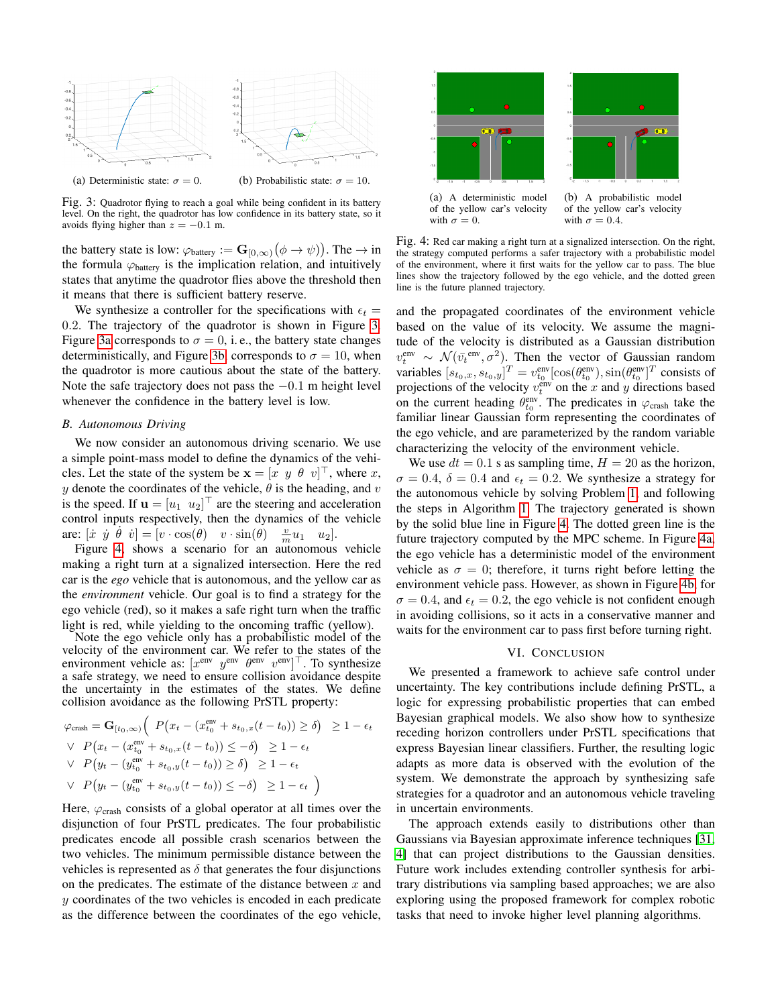<span id="page-7-0"></span>

Fig. 3: Quadrotor flying to reach a goal while being confident in its battery level. On the right, the quadrotor has low confidence in its battery state, so it avoids flying higher than  $z = -0.1$  m.

the battery state is low:  $\varphi_{\text{battery}} := \mathbf{G}_{[0,\infty)}(\phi \to \psi)$ . The  $\to$  in the formula  $\varphi_{\text{battery}}$  is the implication relation, and intuitively states that anytime the quadrotor flies above the threshold then it means that there is sufficient battery reserve.

We synthesize a controller for the specifications with  $\epsilon_t =$ 0.2. The trajectory of the quadrotor is shown in Figure [3.](#page-7-0) Figure [3a](#page-7-0) corresponds to  $\sigma = 0$ , i.e., the battery state changes deterministically, and Figure [3b,](#page-7-0) corresponds to  $\sigma = 10$ , when the quadrotor is more cautious about the state of the battery. Note the safe trajectory does not pass the  $-0.1$  m height level whenever the confidence in the battery level is low.

#### *B. Autonomous Driving*

We now consider an autonomous driving scenario. We use a simple point-mass model to define the dynamics of the vehicles. Let the state of the system be  $\mathbf{x} = [x \ y \ \theta \ v]^\top$ , where x, y denote the coordinates of the vehicle,  $\theta$  is the heading, and v is the speed. If  $\mathbf{u} = [u_1 \ u_2]^\top$  are the steering and acceleration control inputs respectively, then the dynamics of the vehicle are:  $[\dot{x} \ \dot{y} \ \dot{\theta} \ \dot{v}] = [\dot{v} \cdot \cos(\theta) \ \ v \cdot \sin(\theta) \ \ \frac{v}{m}u_1 \ \ u_2].$ 

Figure [4,](#page-7-1) shows a scenario for an autonomous vehicle making a right turn at a signalized intersection. Here the red car is the *ego* vehicle that is autonomous, and the yellow car as the *environment* vehicle. Our goal is to find a strategy for the ego vehicle (red), so it makes a safe right turn when the traffic light is red, while yielding to the oncoming traffic (yellow).

Note the ego vehicle only has a probabilistic model of the velocity of the environment car. We refer to the states of the environment vehicle as:  $[x^{\text{env}} \ y^{\text{env}} \ \theta^{\text{env}} \ v^{\text{env}}]^\top$ . To synthesize a safe strategy, we need to ensure collision avoidance despite the uncertainty in the estimates of the states. We define collision avoidance as the following PrSTL property:

$$
\varphi_{\text{crash}} = \mathbf{G}_{[t_0,\infty)} \Big( P(x_t - (x_{t_0}^{\text{env}} + s_{t_0,x}(t - t_0)) \ge \delta) \Big) \ge 1 - \epsilon_t
$$
\n
$$
\vee P(x_t - (x_{t_0}^{\text{env}} + s_{t_0,x}(t - t_0)) \le -\delta) \ge 1 - \epsilon_t
$$
\n
$$
\vee P(y_t - (y_{t_0}^{\text{env}} + s_{t_0,y}(t - t_0)) \ge \delta) \ge 1 - \epsilon_t
$$
\n
$$
\vee P(y_t - (y_{t_0}^{\text{env}} + s_{t_0,y}(t - t_0)) \le -\delta) \ge 1 - \epsilon_t
$$

Here,  $\varphi_{\text{crash}}$  consists of a global operator at all times over the disjunction of four PrSTL predicates. The four probabilistic predicates encode all possible crash scenarios between the two vehicles. The minimum permissible distance between the vehicles is represented as  $\delta$  that generates the four disjunctions on the predicates. The estimate of the distance between  $x$  and y coordinates of the two vehicles is encoded in each predicate as the difference between the coordinates of the ego vehicle,

<span id="page-7-1"></span>

Fig. 4: Red car making a right turn at a signalized intersection. On the right, the strategy computed performs a safer trajectory with a probabilistic model of the environment, where it first waits for the yellow car to pass. The blue lines show the trajectory followed by the ego vehicle, and the dotted green line is the future planned trajectory.

and the propagated coordinates of the environment vehicle based on the value of its velocity. We assume the magnitude of the velocity is distributed as a Gaussian distribution  $v_t^{\text{env}} \sim \mathcal{N}(\bar{v}_t^{\text{env}}, \sigma^2)$ . Then the vector of Gaussian random variables  $[s_{t_0,x}, s_{t_0,y}]^T = v_{t_0}^{\text{env}}[\cos(\theta_{t_0}^{\text{env}}), \sin(\theta_{t_0}^{\text{env}})]^T$  consists of projections of the velocity  $v_t^{\text{env}}$  on the x and y directions based on the current heading  $\theta_{t_0}^{\text{env}}$ . The predicates in  $\varphi_{\text{crash}}$  take the familiar linear Gaussian form representing the coordinates of the ego vehicle, and are parameterized by the random variable characterizing the velocity of the environment vehicle.

We use  $dt = 0.1$  s as sampling time,  $H = 20$  as the horizon,  $\sigma = 0.4$ ,  $\delta = 0.4$  and  $\epsilon_t = 0.2$ . We synthesize a strategy for the autonomous vehicle by solving Problem [1,](#page-3-0) and following the steps in Algorithm [1.](#page-5-0) The trajectory generated is shown by the solid blue line in Figure [4.](#page-7-1) The dotted green line is the future trajectory computed by the MPC scheme. In Figure [4a,](#page-7-1) the ego vehicle has a deterministic model of the environment vehicle as  $\sigma = 0$ ; therefore, it turns right before letting the environment vehicle pass. However, as shown in Figure [4b,](#page-7-1) for  $\sigma = 0.4$ , and  $\epsilon_t = 0.2$ , the ego vehicle is not confident enough in avoiding collisions, so it acts in a conservative manner and waits for the environment car to pass first before turning right.

#### VI. CONCLUSION

We presented a framework to achieve safe control under uncertainty. The key contributions include defining PrSTL, a logic for expressing probabilistic properties that can embed Bayesian graphical models. We also show how to synthesize receding horizon controllers under PrSTL specifications that express Bayesian linear classifiers. Further, the resulting logic adapts as more data is observed with the evolution of the system. We demonstrate the approach by synthesizing safe strategies for a quadrotor and an autonomous vehicle traveling in uncertain environments.

The approach extends easily to distributions other than Gaussians via Bayesian approximate inference techniques [\[31,](#page-8-23) [4\]](#page-8-24) that can project distributions to the Gaussian densities. Future work includes extending controller synthesis for arbitrary distributions via sampling based approaches; we are also exploring using the proposed framework for complex robotic tasks that need to invoke higher level planning algorithms.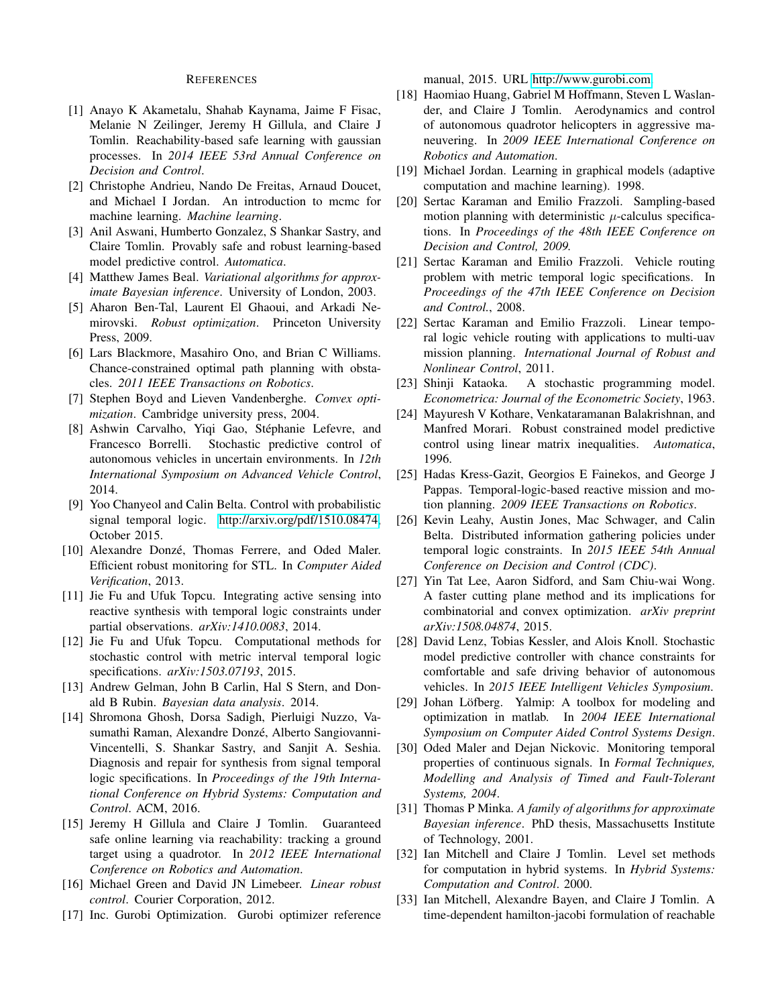#### REFERENCES

- <span id="page-8-6"></span>[1] Anayo K Akametalu, Shahab Kaynama, Jaime F Fisac, Melanie N Zeilinger, Jeremy H Gillula, and Claire J Tomlin. Reachability-based safe learning with gaussian processes. In *2014 IEEE 53rd Annual Conference on Decision and Control*.
- <span id="page-8-25"></span>[2] Christophe Andrieu, Nando De Freitas, Arnaud Doucet, and Michael I Jordan. An introduction to mcmc for machine learning. *Machine learning*.
- <span id="page-8-5"></span>[3] Anil Aswani, Humberto Gonzalez, S Shankar Sastry, and Claire Tomlin. Provably safe and robust learning-based model predictive control. *Automatica*.
- <span id="page-8-24"></span>[4] Matthew James Beal. *Variational algorithms for approximate Bayesian inference*. University of London, 2003.
- <span id="page-8-26"></span>[5] Aharon Ben-Tal, Laurent El Ghaoui, and Arkadi Nemirovski. *Robust optimization*. Princeton University Press, 2009.
- <span id="page-8-14"></span>[6] Lars Blackmore, Masahiro Ono, and Brian C Williams. Chance-constrained optimal path planning with obstacles. *2011 IEEE Transactions on Robotics*.
- <span id="page-8-27"></span>[7] Stephen Boyd and Lieven Vandenberghe. *Convex optimization*. Cambridge university press, 2004.
- <span id="page-8-15"></span>[8] Ashwin Carvalho, Yiqi Gao, Stéphanie Lefevre, and Francesco Borrelli. Stochastic predictive control of autonomous vehicles in uncertain environments. In *12th International Symposium on Advanced Vehicle Control*, 2014.
- <span id="page-8-19"></span>[9] Yoo Chanyeol and Calin Belta. Control with probabilistic signal temporal logic. [http://arxiv.org/pdf/1510.08474,](http://arxiv.org/pdf/1510.08474) October 2015.
- <span id="page-8-21"></span>[10] Alexandre Donzé, Thomas Ferrere, and Oded Maler. Efficient robust monitoring for STL. In *Computer Aided Verification*, 2013.
- <span id="page-8-17"></span>[11] Jie Fu and Ufuk Topcu. Integrating active sensing into reactive synthesis with temporal logic constraints under partial observations. *arXiv:1410.0083*, 2014.
- <span id="page-8-16"></span>[12] Jie Fu and Ufuk Topcu. Computational methods for stochastic control with metric interval temporal logic specifications. *arXiv:1503.07193*, 2015.
- <span id="page-8-22"></span>[13] Andrew Gelman, John B Carlin, Hal S Stern, and Donald B Rubin. *Bayesian data analysis*. 2014.
- <span id="page-8-11"></span>[14] Shromona Ghosh, Dorsa Sadigh, Pierluigi Nuzzo, Vasumathi Raman, Alexandre Donzé, Alberto Sangiovanni-Vincentelli, S. Shankar Sastry, and Sanjit A. Seshia. Diagnosis and repair for synthesis from signal temporal logic specifications. In *Proceedings of the 19th International Conference on Hybrid Systems: Computation and Control*. ACM, 2016.
- <span id="page-8-4"></span>[15] Jeremy H Gillula and Claire J Tomlin. Guaranteed safe online learning via reachability: tracking a ground target using a quadrotor. In *2012 IEEE International Conference on Robotics and Automation*.
- <span id="page-8-1"></span>[16] Michael Green and David JN Limebeer. *Linear robust control*. Courier Corporation, 2012.
- <span id="page-8-31"></span>[17] Inc. Gurobi Optimization. Gurobi optimizer reference

manual, 2015. URL [http://www.gurobi.com.](http://www.gurobi.com)

- <span id="page-8-32"></span>[18] Haomiao Huang, Gabriel M Hoffmann, Steven L Waslander, and Claire J Tomlin. Aerodynamics and control of autonomous quadrotor helicopters in aggressive maneuvering. In *2009 IEEE International Conference on Robotics and Automation*.
- <span id="page-8-0"></span>[19] Michael Jordan. Learning in graphical models (adaptive computation and machine learning). 1998.
- <span id="page-8-9"></span>[20] Sertac Karaman and Emilio Frazzoli. Sampling-based motion planning with deterministic  $\mu$ -calculus specifications. In *Proceedings of the 48th IEEE Conference on Decision and Control, 2009.*
- <span id="page-8-10"></span>[21] Sertac Karaman and Emilio Frazzoli. Vehicle routing problem with metric temporal logic specifications. In *Proceedings of the 47th IEEE Conference on Decision and Control.*, 2008.
- <span id="page-8-8"></span>[22] Sertac Karaman and Emilio Frazzoli. Linear temporal logic vehicle routing with applications to multi-uav mission planning. *International Journal of Robust and Nonlinear Control*, 2011.
- <span id="page-8-28"></span>[23] Shinji Kataoka. A stochastic programming model. *Econometrica: Journal of the Econometric Society*, 1963.
- <span id="page-8-12"></span>[24] Mayuresh V Kothare, Venkataramanan Balakrishnan, and Manfred Morari. Robust constrained model predictive control using linear matrix inequalities. *Automatica*, 1996.
- <span id="page-8-7"></span>[25] Hadas Kress-Gazit, Georgios E Fainekos, and George J Pappas. Temporal-logic-based reactive mission and motion planning. *2009 IEEE Transactions on Robotics*.
- <span id="page-8-18"></span>[26] Kevin Leahy, Austin Jones, Mac Schwager, and Calin Belta. Distributed information gathering policies under temporal logic constraints. In *2015 IEEE 54th Annual Conference on Decision and Control (CDC)*.
- <span id="page-8-29"></span>[27] Yin Tat Lee, Aaron Sidford, and Sam Chiu-wai Wong. A faster cutting plane method and its implications for combinatorial and convex optimization. *arXiv preprint arXiv:1508.04874*, 2015.
- <span id="page-8-13"></span>[28] David Lenz, Tobias Kessler, and Alois Knoll. Stochastic model predictive controller with chance constraints for comfortable and safe driving behavior of autonomous vehicles. In *2015 IEEE Intelligent Vehicles Symposium*.
- <span id="page-8-30"></span>[29] Johan Löfberg. Yalmip: A toolbox for modeling and optimization in matlab. In *2004 IEEE International Symposium on Computer Aided Control Systems Design*.
- <span id="page-8-20"></span>[30] Oded Maler and Dejan Nickovic. Monitoring temporal properties of continuous signals. In *Formal Techniques, Modelling and Analysis of Timed and Fault-Tolerant Systems, 2004*.
- <span id="page-8-23"></span>[31] Thomas P Minka. *A family of algorithms for approximate Bayesian inference*. PhD thesis, Massachusetts Institute of Technology, 2001.
- <span id="page-8-2"></span>[32] Ian Mitchell and Claire J Tomlin. Level set methods for computation in hybrid systems. In *Hybrid Systems: Computation and Control*. 2000.
- <span id="page-8-3"></span>[33] Ian Mitchell, Alexandre Bayen, and Claire J Tomlin. A time-dependent hamilton-jacobi formulation of reachable